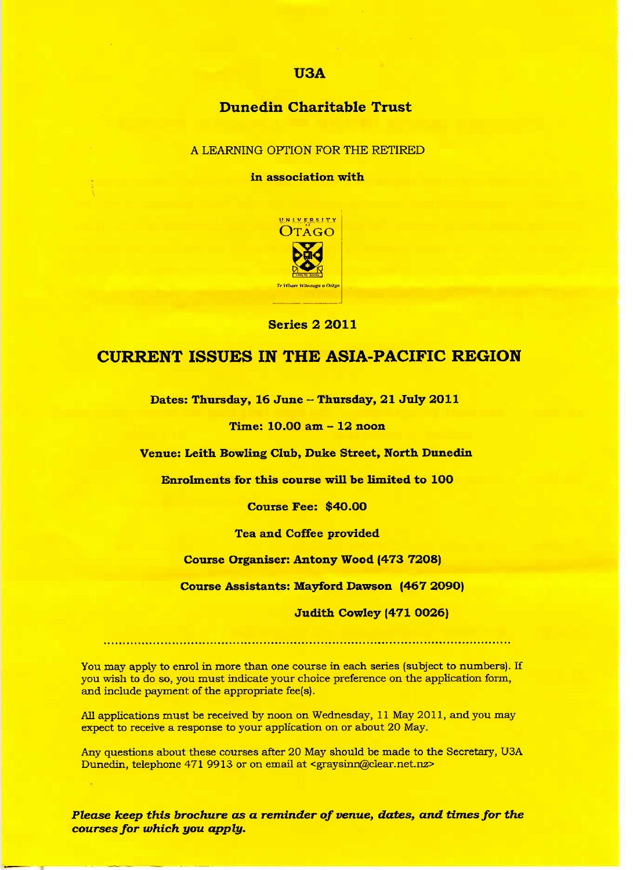#### U3A

## Dunedin **Charitable Trust**

A LEARNING OPTION FOR THE RETIRED

**in association with**



Series 2 2011

## **CURRENT ISSUES** IN **THE ASIA-PACIFIC REGION**

**Dates: Thursday, 16 June - Thursday, 21 July 2O11**

**Time: 1O.OO am - 12 noon**

**Venue: Leith Bowling Club, Duke Street, North Dunedin**

**Enrolments for this course will be limited to 100**

**Course Fee: \$4O.OO**

**Tea and Coffee provided**

**Course Organiser: Antony Wood (473 7208)**

**Course Assistants: Mayford Dawson (467 2O90)**

**Judith Cowley (471 OO26)**

You may apply to enrol in more than one course in each series (subject to numbers). If you wish to do so, you must indicate your choice preference on the application form, and include payment of the appropriate fee(s).

All applications must be received by noon on Wednesday, 11 May 2011, and you may expect to receive a response to your application on or about 20 May.

Any questions about these courses after 20 May should be made to the Secretary, U3A Dunedin, telephone 471 9913 or on email at <graysinn@clear,net.nz>

*Please keep this brochure as a reminder of venue, dates, and times for the courses for which you apply.*